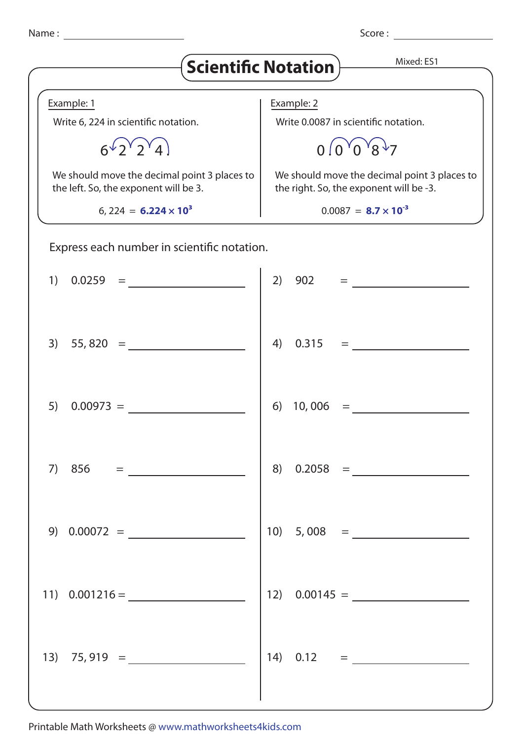| ×<br>۰. |  |
|---------|--|
|---------|--|

| Name:                                                                                 | Score:                                                                                                       |  |
|---------------------------------------------------------------------------------------|--------------------------------------------------------------------------------------------------------------|--|
| Mixed: ES1<br>$\mathsf{\{Scientific \, Notation\}}$                                   |                                                                                                              |  |
| Example: 1                                                                            | Example: 2                                                                                                   |  |
| Write 6, 224 in scientific notation.                                                  | Write 0.0087 in scientific notation.                                                                         |  |
|                                                                                       | $^{\mathsf{v}}$ 8 $^{\mathsf{v}}$ 7<br>$0^{9}$ $0^{1}$                                                       |  |
| We should move the decimal point 3 places to<br>the left. So, the exponent will be 3. | We should move the decimal point 3 places to<br>the right. So, the exponent will be -3.                      |  |
| 6, 224 = $6.224 \times 10^3$                                                          | $0.0087 =$ 8.7 $\times$ 10 <sup>-3</sup>                                                                     |  |
| Express each number in scientific notation.                                           |                                                                                                              |  |
| 1)                                                                                    | 2)                                                                                                           |  |
| $3)$ 55,820 =                                                                         | 0.315<br>4)<br>$=\underbrace{\qquad \qquad }_{\qquad \qquad }=\underbrace{\qquad \qquad }_{\qquad \qquad }%$ |  |
| 5)<br>$0.00973 =$                                                                     | 6)<br>10,006                                                                                                 |  |
| 7) $856 =$                                                                            | 8) $0.2058 =$                                                                                                |  |
| 9) $0.00072 =$                                                                        | 10) $5,008 =$                                                                                                |  |
| 11) $0.001216 =$                                                                      | 12) $0.00145 =$                                                                                              |  |
|                                                                                       | $14) 0.12 =$                                                                                                 |  |

Printable Math Worksheets @ www.mathworksheets4kids.com